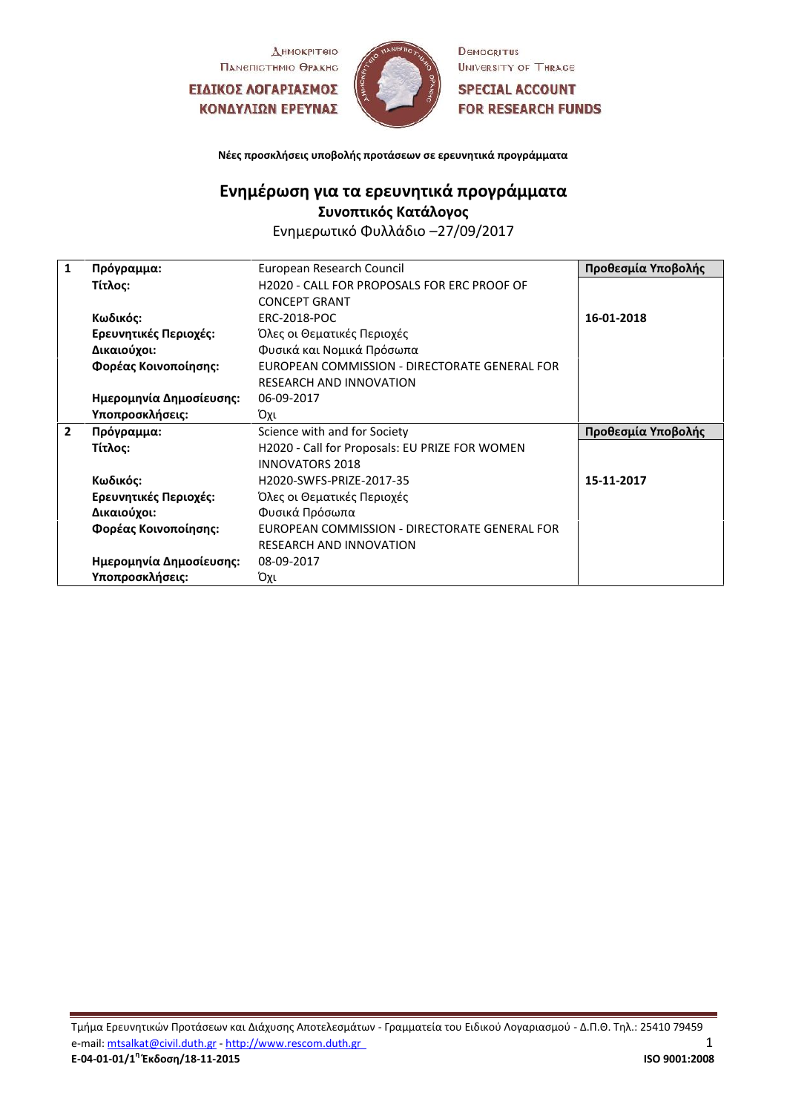Днмокрітею Памепістнию Өракно

ΕΙΔΙΚΟΣ ΛΟΓΑΡΙΑΣΜΟΣ ΚΟΝΔΥΛΙΩΝ ΕΡΕΥΝΑΣ



DEMOCRITUS UNIVERSITY OF THRACE

**SPECIAL ACCOUNT FOR RESEARCH FUNDS** 

**Νέες προσκλήσεις υποβολής προτάσεων σε ερευνητικά προγράμματα**

## **Ενημέρωση για τα ερευνητικά προγράμματα Συνοπτικός Κατάλογος**

Ενημερωτικό Φυλλάδιο –27/09/2017

| 1<br>Πρόγραμμα:              | European Research Council                      | Προθεσμία Υποβολής |
|------------------------------|------------------------------------------------|--------------------|
| Τίτλος:                      | H2020 - CALL FOR PROPOSALS FOR ERC PROOF OF    |                    |
|                              | <b>CONCEPT GRANT</b>                           |                    |
| Κωδικός:                     | <b>ERC-2018-POC</b>                            | 16-01-2018         |
| Ερευνητικές Περιοχές:        | Όλες οι Θεματικές Περιοχές                     |                    |
| Δικαιούχοι:                  | Φυσικά και Νομικά Πρόσωπα                      |                    |
| Φορέας Κοινοποίησης:         | EUROPEAN COMMISSION - DIRECTORATE GENERAL FOR  |                    |
|                              | <b>RESEARCH AND INNOVATION</b>                 |                    |
| Ημερομηνία Δημοσίευσης:      | 06-09-2017                                     |                    |
| Υποπροσκλήσεις:              | Όχι                                            |                    |
| $\overline{2}$<br>Πρόγραμμα: | Science with and for Society                   | Προθεσμία Υποβολής |
| Τίτλος:                      | H2020 - Call for Proposals: EU PRIZE FOR WOMEN |                    |
|                              | <b>INNOVATORS 2018</b>                         |                    |
| Κωδικός:                     | H2020-SWFS-PRIZE-2017-35                       | 15-11-2017         |
| Ερευνητικές Περιοχές:        | Όλες οι Θεματικές Περιοχές                     |                    |
| Δικαιούχοι:                  | Φυσικά Πρόσωπα                                 |                    |
| Φορέας Κοινοποίησης:         | EUROPEAN COMMISSION - DIRECTORATE GENERAL FOR  |                    |
|                              | <b>RESEARCH AND INNOVATION</b>                 |                    |
| Ημερομηνία Δημοσίευσης:      | 08-09-2017                                     |                    |
| Υποπροσκλήσεις:              | Όχι                                            |                    |

Τμήμα Ερευνητικών Προτάσεων και Διάχυσης Αποτελεσμάτων - Γραμματεία του Ειδικού Λογαριασμού - Δ.Π.Θ. Τηλ.: 25410 79459 e-mail: <u>[mtsalkat@civil.duth.gr](mailto:mtsalkat@civil.duth.gr)</u> - <u>[http://www.rescom.duth.gr](http://www.rescom.duth.gr/)</u><br>E-04-01-01/1<sup>n</sup> Ekδoon/18-11-2015 **1986 1996 12008 Ε-04-01-01/1<sup>η</sup> Έκδοση/18-11-2015 ISO 9001:2008**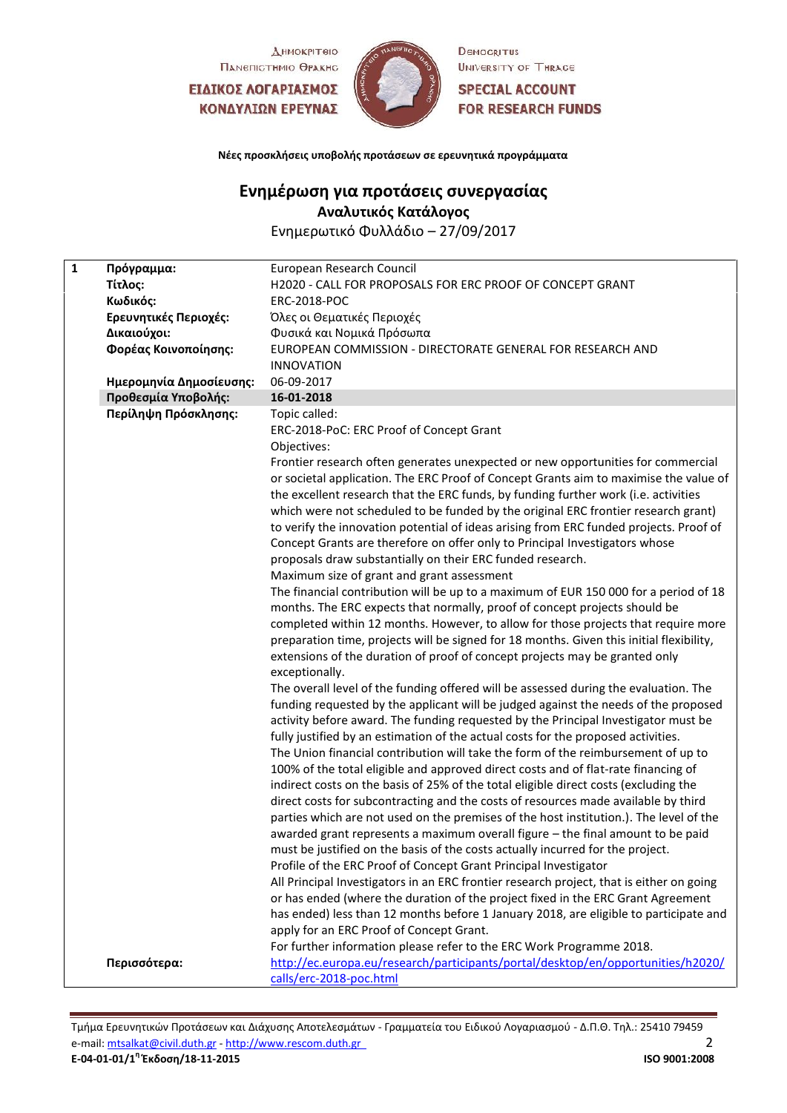Днмокрітею Памепістнию Өракно

ΕΙΔΙΚΟΣ ΛΟΓΑΡΙΑΣΜΟΣ ΚΟΝΔΥΛΙΩΝ ΕΡΕΥΝΑΣ



DEMOCRITUS UNIVERSITY OF THRACE

**SPECIAL ACCOUNT FOR RESEARCH FUNDS** 

**Νέες προσκλήσεις υποβολής προτάσεων σε ερευνητικά προγράμματα**

## **Ενημέρωση για προτάσεις συνεργασίας**

**Αναλυτικός Κατάλογος**

Ενημερωτικό Φυλλάδιο – 27/09/2017

| $\mathbf{1}$ | Πρόγραμμα:              | European Research Council                                                                |
|--------------|-------------------------|------------------------------------------------------------------------------------------|
|              | Τίτλος:                 | H2020 - CALL FOR PROPOSALS FOR ERC PROOF OF CONCEPT GRANT                                |
|              | Κωδικός:                | <b>ERC-2018-POC</b>                                                                      |
|              | Ερευνητικές Περιοχές:   | Όλες οι Θεματικές Περιοχές                                                               |
|              | Δικαιούχοι:             | Φυσικά και Νομικά Πρόσωπα                                                                |
|              | Φορέας Κοινοποίησης:    | EUROPEAN COMMISSION - DIRECTORATE GENERAL FOR RESEARCH AND                               |
|              |                         | <b>INNOVATION</b>                                                                        |
|              | Ημερομηνία Δημοσίευσης: | 06-09-2017                                                                               |
|              | Προθεσμία Υποβολής:     | 16-01-2018                                                                               |
|              | Περίληψη Πρόσκλησης:    | Topic called:                                                                            |
|              |                         | ERC-2018-PoC: ERC Proof of Concept Grant                                                 |
|              |                         | Objectives:                                                                              |
|              |                         | Frontier research often generates unexpected or new opportunities for commercial         |
|              |                         | or societal application. The ERC Proof of Concept Grants aim to maximise the value of    |
|              |                         | the excellent research that the ERC funds, by funding further work (i.e. activities      |
|              |                         | which were not scheduled to be funded by the original ERC frontier research grant)       |
|              |                         | to verify the innovation potential of ideas arising from ERC funded projects. Proof of   |
|              |                         | Concept Grants are therefore on offer only to Principal Investigators whose              |
|              |                         | proposals draw substantially on their ERC funded research.                               |
|              |                         | Maximum size of grant and grant assessment                                               |
|              |                         | The financial contribution will be up to a maximum of EUR 150 000 for a period of 18     |
|              |                         | months. The ERC expects that normally, proof of concept projects should be               |
|              |                         | completed within 12 months. However, to allow for those projects that require more       |
|              |                         | preparation time, projects will be signed for 18 months. Given this initial flexibility, |
|              |                         | extensions of the duration of proof of concept projects may be granted only              |
|              |                         | exceptionally.                                                                           |
|              |                         | The overall level of the funding offered will be assessed during the evaluation. The     |
|              |                         | funding requested by the applicant will be judged against the needs of the proposed      |
|              |                         | activity before award. The funding requested by the Principal Investigator must be       |
|              |                         | fully justified by an estimation of the actual costs for the proposed activities.        |
|              |                         | The Union financial contribution will take the form of the reimbursement of up to        |
|              |                         | 100% of the total eligible and approved direct costs and of flat-rate financing of       |
|              |                         | indirect costs on the basis of 25% of the total eligible direct costs (excluding the     |
|              |                         | direct costs for subcontracting and the costs of resources made available by third       |
|              |                         | parties which are not used on the premises of the host institution.). The level of the   |
|              |                         | awarded grant represents a maximum overall figure - the final amount to be paid          |
|              |                         | must be justified on the basis of the costs actually incurred for the project.           |
|              |                         | Profile of the ERC Proof of Concept Grant Principal Investigator                         |
|              |                         | All Principal Investigators in an ERC frontier research project, that is either on going |
|              |                         | or has ended (where the duration of the project fixed in the ERC Grant Agreement         |
|              |                         | has ended) less than 12 months before 1 January 2018, are eligible to participate and    |
|              |                         | apply for an ERC Proof of Concept Grant.                                                 |
|              |                         | For further information please refer to the ERC Work Programme 2018.                     |
|              | Περισσότερα:            | http://ec.europa.eu/research/participants/portal/desktop/en/opportunities/h2020/         |
|              |                         | calls/erc-2018-poc.html                                                                  |

Τμήμα Ερευνητικών Προτάσεων και Διάχυσης Αποτελεσμάτων - Γραμματεία του Ειδικού Λογαριασμού - Δ.Π.Θ. Τηλ.: 25410 79459 e-mail: <u>[mtsalkat@civil.duth.gr](mailto:mtsalkat@civil.duth.gr)</u> - <u>[http://www.rescom.duth.gr](http://www.rescom.duth.gr/)</u><br> **E-04-01-01/1<sup>η</sup> Έκδοση/18-11-2015** 2 **Ε-04-01-01/1<sup>η</sup> Έκδοση/18-11-2015 ISO 9001:2008**